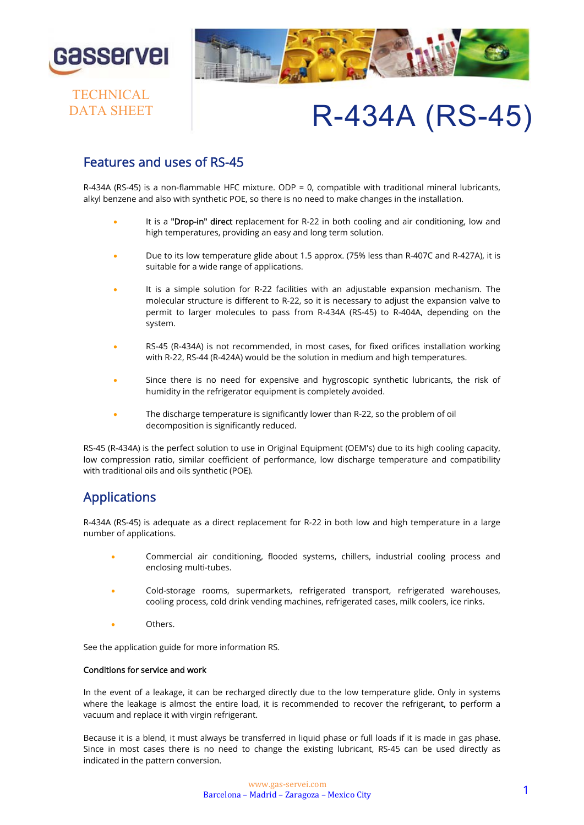

**TECHNICAL** DATA SHEET



# R-434A (RS-45)

# Features and uses of RS-45

R-434A (RS-45) is a non-flammable HFC mixture. ODP = 0, compatible with traditional mineral lubricants, alkyl benzene and also with synthetic POE, so there is no need to make changes in the installation.

- It is a "Drop-in" direct replacement for R-22 in both cooling and air conditioning, low and high temperatures, providing an easy and long term solution.
- Due to its low temperature glide about 1.5 approx. (75% less than R-407C and R-427A), it is suitable for a wide range of applications.
- It is a simple solution for R-22 facilities with an adjustable expansion mechanism. The molecular structure is different to R-22, so it is necessary to adjust the expansion valve to permit to larger molecules to pass from R-434A (RS-45) to R-404A, depending on the system.
- RS-45 (R-434A) is not recommended, in most cases, for fixed orifices installation working with R-22, RS-44 (R-424A) would be the solution in medium and high temperatures.
- Since there is no need for expensive and hygroscopic synthetic lubricants, the risk of humidity in the refrigerator equipment is completely avoided.
- The discharge temperature is significantly lower than R-22, so the problem of oil decomposition is significantly reduced.

RS-45 (R-434A) is the perfect solution to use in Original Equipment (OEM's) due to its high cooling capacity, low compression ratio, similar coefficient of performance, low discharge temperature and compatibility with traditional oils and oils synthetic (POE).

# Applications

R-434A (RS-45) is adequate as a direct replacement for R-22 in both low and high temperature in a large number of applications.

- Commercial air conditioning, flooded systems, chillers, industrial cooling process and enclosing multi-tubes.
- Cold-storage rooms, supermarkets, refrigerated transport, refrigerated warehouses, cooling process, cold drink vending machines, refrigerated cases, milk coolers, ice rinks.
- Others.

See the application guide for more information RS.

#### Conditions for service and work

In the event of a leakage, it can be recharged directly due to the low temperature glide. Only in systems where the leakage is almost the entire load, it is recommended to recover the refrigerant, to perform a vacuum and replace it with virgin refrigerant.

Because it is a blend, it must always be transferred in liquid phase or full loads if it is made in gas phase. Since in most cases there is no need to change the existing lubricant, RS-45 can be used directly as indicated in the pattern conversion.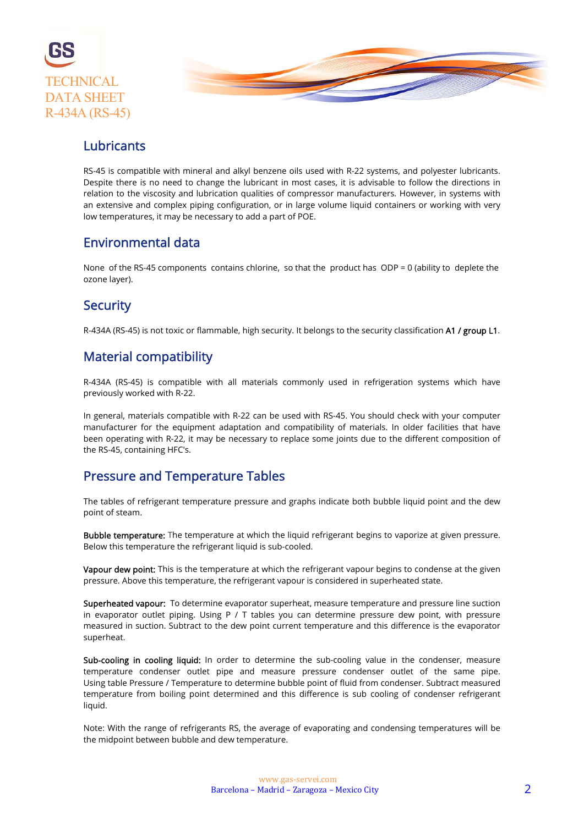

# Lubricants

RS-45 is compatible with mineral and alkyl benzene oils used with R-22 systems, and polyester lubricants. Despite there is no need to change the lubricant in most cases, it is advisable to follow the directions in relation to the viscosity and lubrication qualities of compressor manufacturers. However, in systems with an extensive and complex piping configuration, or in large volume liquid containers or working with very low temperatures, it may be necessary to add a part of POE.

### Environmental data

None of the RS-45 components contains chlorine, so that the product has ODP = 0 (ability to deplete the ozone layer).

# **Security**

R-434A (RS-45) is not toxic or flammable, high security. It belongs to the security classification A1 / group L1.

# Material compatibility

R-434A (RS-45) is compatible with all materials commonly used in refrigeration systems which have previously worked with R-22.

In general, materials compatible with R-22 can be used with RS-45. You should check with your computer manufacturer for the equipment adaptation and compatibility of materials. In older facilities that have been operating with R-22, it may be necessary to replace some joints due to the different composition of the RS-45, containing HFC's.

# Pressure and Temperature Tables

The tables of refrigerant temperature pressure and graphs indicate both bubble liquid point and the dew point of steam.

Bubble temperature: The temperature at which the liquid refrigerant begins to vaporize at given pressure. Below this temperature the refrigerant liquid is sub-cooled.

Vapour dew point: This is the temperature at which the refrigerant vapour begins to condense at the given pressure. Above this temperature, the refrigerant vapour is considered in superheated state.

Superheated vapour: To determine evaporator superheat, measure temperature and pressure line suction in evaporator outlet piping. Using P / T tables you can determine pressure dew point, with pressure measured in suction. Subtract to the dew point current temperature and this difference is the evaporator superheat.

Sub-cooling in cooling liquid: In order to determine the sub-cooling value in the condenser, measure temperature condenser outlet pipe and measure pressure condenser outlet of the same pipe. Using table Pressure / Temperature to determine bubble point of fluid from condenser. Subtract measured temperature from boiling point determined and this difference is sub cooling of condenser refrigerant liquid.

Note: With the range of refrigerants RS, the average of evaporating and condensing temperatures will be the midpoint between bubble and dew temperature.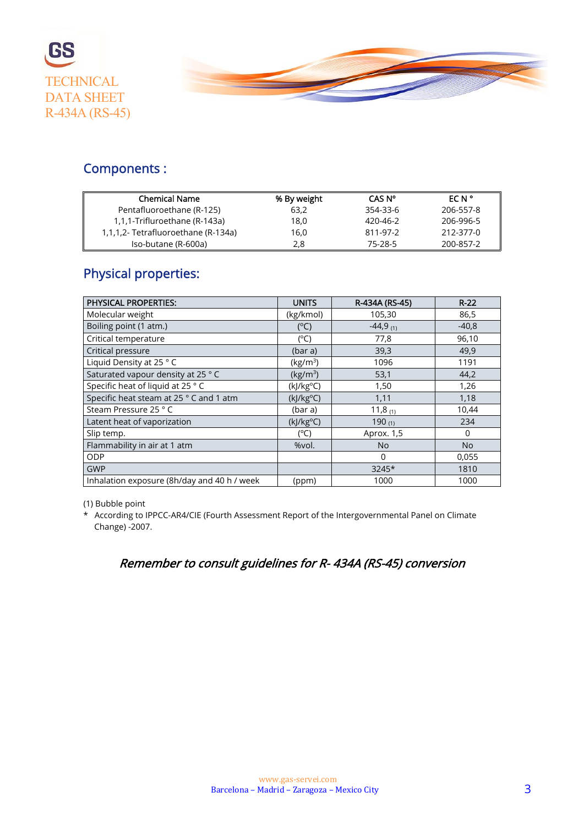



# Components :

| <b>Chemical Name</b>                | % By weight | CAS N°   | <b>ECN</b> ° |
|-------------------------------------|-------------|----------|--------------|
| Pentafluoroethane (R-125)           | 63.2        | 354-33-6 | 206-557-8    |
| 1,1,1-Trifluroethane (R-143a)       | 18.0        | 420-46-2 | 206-996-5    |
| 1,1,1,2- Tetrafluoroethane (R-134a) | 16.0        | 811-97-2 | 212-377-0    |
| Iso-butane (R-600a)                 | 2.8         | 75-28-5  | 200-857-2    |

# Physical properties:

| <b>PHYSICAL PROPERTIES:</b>                 | <b>UNITS</b>         | R-434A (RS-45) | $R-22$         |
|---------------------------------------------|----------------------|----------------|----------------|
| Molecular weight                            | (kg/kmol)            | 105,30         | 86,5           |
| Boiling point (1 atm.)                      | $(^{\circ}C)$        | $-44,9$ (1)    | $-40,8$        |
| Critical temperature                        | $(^{\circ}C)$        | 77,8           | 96,10          |
| Critical pressure                           | (bar a)              | 39,3           | 49,9           |
| Liquid Density at 25 °C                     | (kg/m <sup>3</sup> ) | 1096           | 1191           |
| Saturated vapour density at 25 °C           | (kg/m <sup>3</sup> ) | 53,1           | 44,2           |
| Specific heat of liquid at 25 °C            | $(k]/kg^oC)$         | 1,50           | 1,26           |
| Specific heat steam at 25 ° C and 1 atm     | (kJ/kg°C)            | 1,11           | 1,18           |
| Steam Pressure 25 °C                        | (bar a)              | 11,8 $_{(1)}$  | 10,44          |
| Latent heat of vaporization                 | $(k]/kg^oC)$         | 190 $(1)$      | 234            |
| Slip temp.                                  | $(^{\circ}C)$        | Aprox. 1,5     | $\Omega$       |
| Flammability in air at 1 atm                | %vol.                | <b>No</b>      | N <sub>o</sub> |
| <b>ODP</b>                                  |                      | 0              | 0,055          |
| <b>GWP</b>                                  |                      | 3245*          | 1810           |
| Inhalation exposure (8h/day and 40 h / week | (ppm)                | 1000           | 1000           |

(1) Bubble point

\* According to IPPCC-AR4/CIE (Fourth Assessment Report of the Intergovernmental Panel on Climate Change) -2007.

# Remember to consult guidelines for R- 434A (RS-45) conversion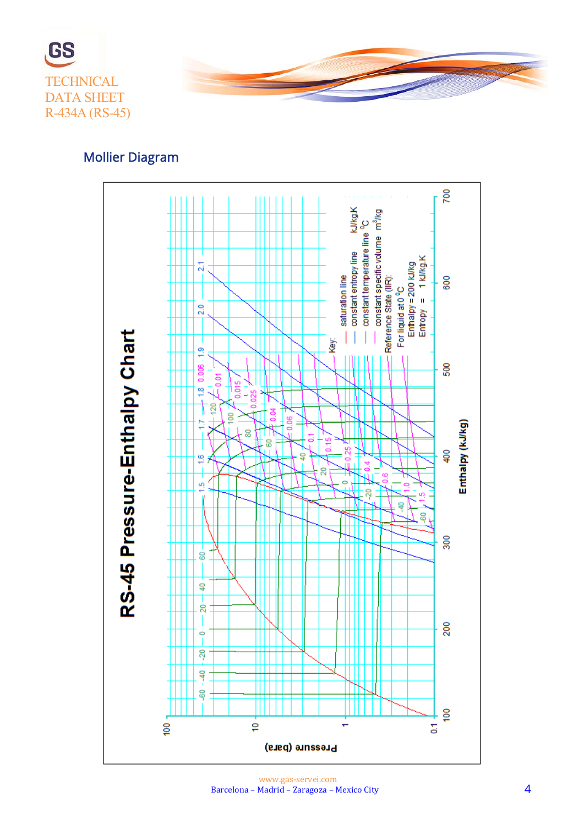



# Mollier Diagram

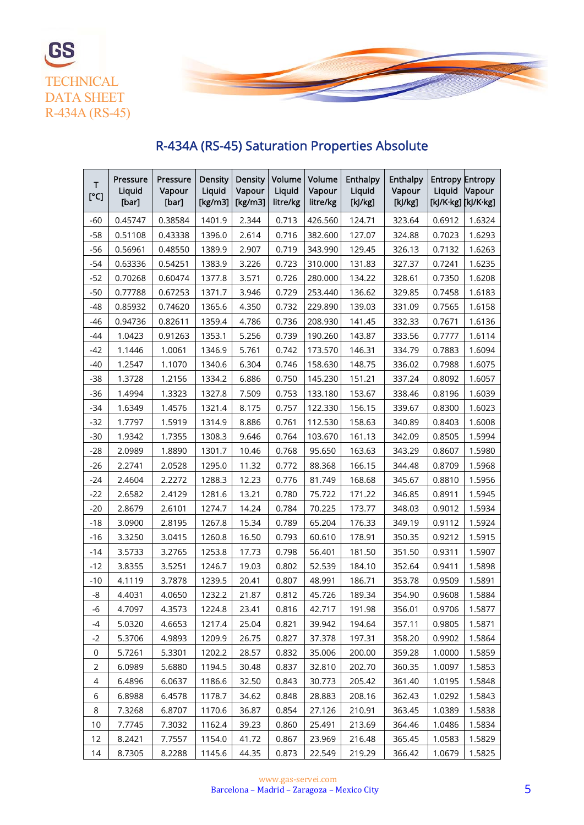



# R-434A (RS-45) Saturation Properties Absolute

| т<br>[°C]      | Pressure<br>Liquid<br>[bar] | Pressure<br>Vapour<br>[bar] | <b>Density</b><br>Liquid<br>[ $kg/m3$ ] | <b>Density</b><br>Vapour<br>[ $kg/m3$ ] | Volume<br>Liquid<br>litre/kg | Volume<br>Vapour<br>litre/kg | Enthalpy<br>Liquid<br>[k]/kg] | Enthalpy<br>Vapour<br>[k]/kg] | <b>Entropy Entropy</b><br>Liquid<br>[kJ/K·kg] [kJ/K·kg] | Vapour |
|----------------|-----------------------------|-----------------------------|-----------------------------------------|-----------------------------------------|------------------------------|------------------------------|-------------------------------|-------------------------------|---------------------------------------------------------|--------|
| $-60$          | 0.45747                     | 0.38584                     | 1401.9                                  | 2.344                                   | 0.713                        | 426.560                      | 124.71                        | 323.64                        | 0.6912                                                  | 1.6324 |
| $-58$          | 0.51108                     | 0.43338                     | 1396.0                                  | 2.614                                   | 0.716                        | 382.600                      | 127.07                        | 324.88                        | 0.7023                                                  | 1.6293 |
| $-56$          | 0.56961                     | 0.48550                     | 1389.9                                  | 2.907                                   | 0.719                        | 343.990                      | 129.45                        | 326.13                        | 0.7132                                                  | 1.6263 |
| $-54$          | 0.63336                     | 0.54251                     | 1383.9                                  | 3.226                                   | 0.723                        | 310.000                      | 131.83                        | 327.37                        | 0.7241                                                  | 1.6235 |
| $-52$          | 0.70268                     | 0.60474                     | 1377.8                                  | 3.571                                   | 0.726                        | 280.000                      | 134.22                        | 328.61                        | 0.7350                                                  | 1.6208 |
| $-50$          | 0.77788                     | 0.67253                     | 1371.7                                  | 3.946                                   | 0.729                        | 253.440                      | 136.62                        | 329.85                        | 0.7458                                                  | 1.6183 |
| $-48$          | 0.85932                     | 0.74620                     | 1365.6                                  | 4.350                                   | 0.732                        | 229.890                      | 139.03                        | 331.09                        | 0.7565                                                  | 1.6158 |
| $-46$          | 0.94736                     | 0.82611                     | 1359.4                                  | 4.786                                   | 0.736                        | 208.930                      | 141.45                        | 332.33                        | 0.7671                                                  | 1.6136 |
| -44            | 1.0423                      | 0.91263                     | 1353.1                                  | 5.256                                   | 0.739                        | 190.260                      | 143.87                        | 333.56                        | 0.7777                                                  | 1.6114 |
| $-42$          | 1.1446                      | 1.0061                      | 1346.9                                  | 5.761                                   | 0.742                        | 173.570                      | 146.31                        | 334.79                        | 0.7883                                                  | 1.6094 |
| $-40$          | 1.2547                      | 1.1070                      | 1340.6                                  | 6.304                                   | 0.746                        | 158.630                      | 148.75                        | 336.02                        | 0.7988                                                  | 1.6075 |
| $-38$          | 1.3728                      | 1.2156                      | 1334.2                                  | 6.886                                   | 0.750                        | 145.230                      | 151.21                        | 337.24                        | 0.8092                                                  | 1.6057 |
| $-36$          | 1.4994                      | 1.3323                      | 1327.8                                  | 7.509                                   | 0.753                        | 133.180                      | 153.67                        | 338.46                        | 0.8196                                                  | 1.6039 |
| $-34$          | 1.6349                      | 1.4576                      | 1321.4                                  | 8.175                                   | 0.757                        | 122.330                      | 156.15                        | 339.67                        | 0.8300                                                  | 1.6023 |
| $-32$          | 1.7797                      | 1.5919                      | 1314.9                                  | 8.886                                   | 0.761                        | 112.530                      | 158.63                        | 340.89                        | 0.8403                                                  | 1.6008 |
| $-30$          | 1.9342                      | 1.7355                      | 1308.3                                  | 9.646                                   | 0.764                        | 103.670                      | 161.13                        | 342.09                        | 0.8505                                                  | 1.5994 |
| $-28$          | 2.0989                      | 1.8890                      | 1301.7                                  | 10.46                                   | 0.768                        | 95.650                       | 163.63                        | 343.29                        | 0.8607                                                  | 1.5980 |
| $-26$          | 2.2741                      | 2.0528                      | 1295.0                                  | 11.32                                   | 0.772                        | 88.368                       | 166.15                        | 344.48                        | 0.8709                                                  | 1.5968 |
| $-24$          | 2.4604                      | 2.2272                      | 1288.3                                  | 12.23                                   | 0.776                        | 81.749                       | 168.68                        | 345.67                        | 0.8810                                                  | 1.5956 |
| $-22$          | 2.6582                      | 2.4129                      | 1281.6                                  | 13.21                                   | 0.780                        | 75.722                       | 171.22                        | 346.85                        | 0.8911                                                  | 1.5945 |
| $-20$          | 2.8679                      | 2.6101                      | 1274.7                                  | 14.24                                   | 0.784                        | 70.225                       | 173.77                        | 348.03                        | 0.9012                                                  | 1.5934 |
| $-18$          | 3.0900                      | 2.8195                      | 1267.8                                  | 15.34                                   | 0.789                        | 65.204                       | 176.33                        | 349.19                        | 0.9112                                                  | 1.5924 |
| $-16$          | 3.3250                      | 3.0415                      | 1260.8                                  | 16.50                                   | 0.793                        | 60.610                       | 178.91                        | 350.35                        | 0.9212                                                  | 1.5915 |
| $-14$          | 3.5733                      | 3.2765                      | 1253.8                                  | 17.73                                   | 0.798                        | 56.401                       | 181.50                        | 351.50                        | 0.9311                                                  | 1.5907 |
| -12            | 3.8355                      | 3.5251                      | 1246.7                                  | 19.03                                   | 0.802                        | 52.539                       | 184.10                        | 352.64                        | 0.9411                                                  | 1.5898 |
| $-10$          | 4.1119                      | 3.7878                      | 1239.5                                  | 20.41                                   | 0.807                        | 48.991                       | 186.71                        | 353.78                        | 0.9509                                                  | 1.5891 |
| -8             | 4.4031                      | 4.0650                      | 1232.2                                  | 21.87                                   | 0.812                        | 45.726                       | 189.34                        | 354.90                        | 0.9608                                                  | 1.5884 |
| $-6$           | 4.7097                      | 4.3573                      | 1224.8                                  | 23.41                                   | 0.816                        | 42.717                       | 191.98                        | 356.01                        | 0.9706                                                  | 1.5877 |
| -4             | 5.0320                      | 4.6653                      | 1217.4                                  | 25.04                                   | 0.821                        | 39.942                       | 194.64                        | 357.11                        | 0.9805                                                  | 1.5871 |
| $-2$           | 5.3706                      | 4.9893                      | 1209.9                                  | 26.75                                   | 0.827                        | 37.378                       | 197.31                        | 358.20                        | 0.9902                                                  | 1.5864 |
| 0              | 5.7261                      | 5.3301                      | 1202.2                                  | 28.57                                   | 0.832                        | 35.006                       | 200.00                        | 359.28                        | 1.0000                                                  | 1.5859 |
| $\overline{2}$ | 6.0989                      | 5.6880                      | 1194.5                                  | 30.48                                   | 0.837                        | 32.810                       | 202.70                        | 360.35                        | 1.0097                                                  | 1.5853 |
| 4              | 6.4896                      | 6.0637                      | 1186.6                                  | 32.50                                   | 0.843                        | 30.773                       | 205.42                        | 361.40                        | 1.0195                                                  | 1.5848 |
| 6              | 6.8988                      | 6.4578                      | 1178.7                                  | 34.62                                   | 0.848                        | 28.883                       | 208.16                        | 362.43                        | 1.0292                                                  | 1.5843 |
| 8              | 7.3268                      | 6.8707                      | 1170.6                                  | 36.87                                   | 0.854                        | 27.126                       | 210.91                        | 363.45                        | 1.0389                                                  | 1.5838 |
| 10             | 7.7745                      | 7.3032                      | 1162.4                                  | 39.23                                   | 0.860                        | 25.491                       | 213.69                        | 364.46                        | 1.0486                                                  | 1.5834 |
| 12             | 8.2421                      | 7.7557                      | 1154.0                                  | 41.72                                   | 0.867                        | 23.969                       | 216.48                        | 365.45                        | 1.0583                                                  | 1.5829 |
| 14             | 8.7305                      | 8.2288                      | 1145.6                                  | 44.35                                   | 0.873                        | 22.549                       | 219.29                        | 366.42                        | 1.0679                                                  | 1.5825 |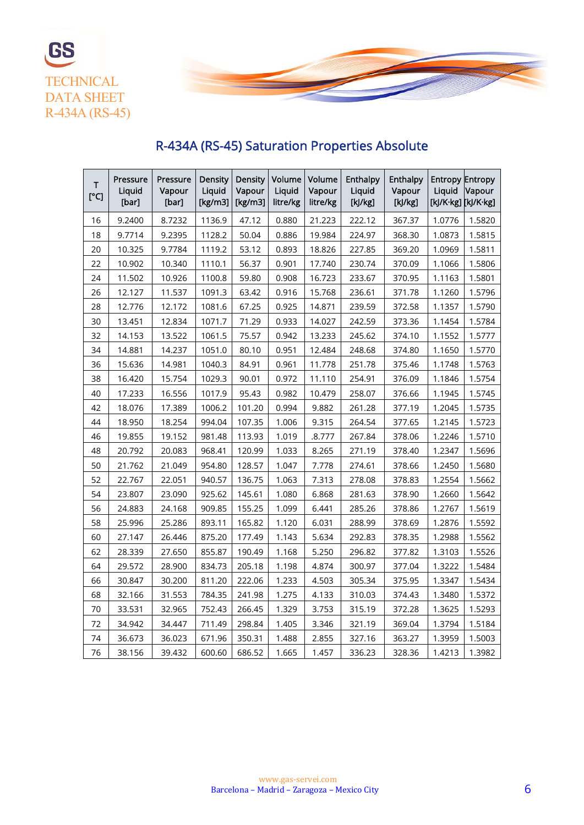



#### T [°C] Pressure **Liquid** [bar] Pressure Vapour [bar] Density **Liquid** [kg/m3] Density Vapour [kg/m3] Volume **Liquid** litre/kg Volume Vapour litre/kg Enthalpy **Liquid** [kJ/kg] Enthalpy Vapour [kJ/kg] Entropy Entropy Liquid Vapour [kJ/K·kg] [kJ/K·kg] 16 | 9.2400 | 8.7232 |1136.9 | 47.12 | 0.880 | 21.223 | 222.12 | 367.37 |1.0776 |1.5820 18 | 9.7714 | 9.2395 |1128.2 | 50.04 | 0.886 |19.984 | 224.97 | 368.30 |1.0873 |1.5815 20 10.325 9.7784 1119.2 53.12 0.893 18.826 227.85 369.20 1.0969 1.5811 22 10.902 10.340 1110.1 56.37 0.901 17.740 230.74 370.09 1.1066 1.5806 24 | 11.502 | 10.926 |1100.8 | 59.80 | 0.908 | 16.723 | 233.67 | 370.95 | 1.1163 | 1.5801 26 | 12.127 | 11.537 | 1091.3 | 63.42 | 0.916 | 15.768 | 236.61 | 371.78 | 1.1260 | 1.5796 28 | 12.776 | 12.172 |1081.6 | 67.25 | 0.925 |14.871 | 239.59 | 372.58 | 1.1357 | 1.5790 30 | 13.451 | 12.834 | 1071.7 | 71.29 | 0.933 | 14.027 | 242.59 | 373.36 | 1.1454 | 1.5784 32 | 14.153 | 13.522 |1061.5 | 75.57 | 0.942 | 13.233 | 245.62 | 374.10 | 1.1552 | 1.5777 34 | 14.881 | 14.237 | 1051.0 | 80.10 | 0.951 | 12.484 | 248.68 | 374.80 | 1.1650 | 1.5770 36 | 15.636 | 14.981 | 1040.3 | 84.91 | 0.961 | 11.778 | 251.78 | 375.46 | 1.1748 | 1.5763 38 16.420 15.754 1029.3 90.01 0.972 11.110 254.91 376.09 1.1846 1.5754 40 | 17.233 | 16.556 | 1017.9 | 95.43 | 0.982 | 10.479 | 258.07 | 376.66 | 1.1945 | 1.5745 42 | 18.076 | 17.389 |1006.2 |101.20 | 0.994 | 9.882 | 261.28 | 377.19 |1.2045 |1.5735 44 18.950 18.254 994.04 107.35 1.006 9.315 264.54 377.65 1.2145 1.5723 46 | 19.855 | 19.152 | 981.48 | 113.93 | 1.019 | .8.777 | 267.84 | 378.06 | 1.2246 | 1.5710 48 | 20.792 | 20.083 | 968.41 | 120.99 | 1.033 | 8.265 | 271.19 | 378.40 | 1.2347 | 1.5696 50 21.762 21.049 954.80 128.57 1.047 7.778 274.61 378.66 1.2450 1.5680 52 22.767 22.051 940.57 136.75 1.063 7.313 278.08 378.83 1.2554 1.5662 54 | 23.807 | 23.090 | 925.62 | 145.61 | 1.080 | 6.868 | 281.63 | 378.90 | 1.2660 | 1.5642 56 24.883 24.168 909.85 155.25 1.099 6.441 285.26 378.86 1.2767 1.5619 58 25.996 25.286 893.11 165.82 1.120 6.031 288.99 378.69 1.2876 1.5592 60 | 27.147 | 26.446 | 875.20 | 177.49 | 1.143 | 5.634 | 292.83 | 378.35 | 1.2988 | 1.5562 62 | 28.339 | 27.650 | 855.87 | 190.49 | 1.168 | 5.250 | 296.82 | 377.82 | 1.3103 | 1.5526 64 29.572 28.900 834.73 205.18 1.198 4.874 300.97 377.04 1.3222 1.5484 66 | 30.847 | 30.200 | 811.20 | 222.06 | 1.233 | 4.503 | 305.34 | 375.95 | 1.3347 | 1.5434

# R-434A (RS-45) Saturation Properties Absolute

68 32.166 31.553 784.35 241.98 1.275 4.133 310.03 374.43 1.3480 1.5372 70 | 33.531 | 32.965 | 752.43 | 266.45 | 1.329 | 3.753 | 315.19 | 372.28 | 1.3625 | 1.5293 72 34.942 34.447 711.49 298.84 1.405 3.346 321.19 369.04 1.3794 1.5184 74 | 36.673 | 36.023 | 671.96 | 350.31 | 1.488 | 2.855 | 327.16 | 363.27 | 1.3959 | 1.5003 76 | 38.156 | 39.432 |600.60 |686.52 | 1.665 | 1.457 | 336.23 | 328.36 | 1.4213 | 1.3982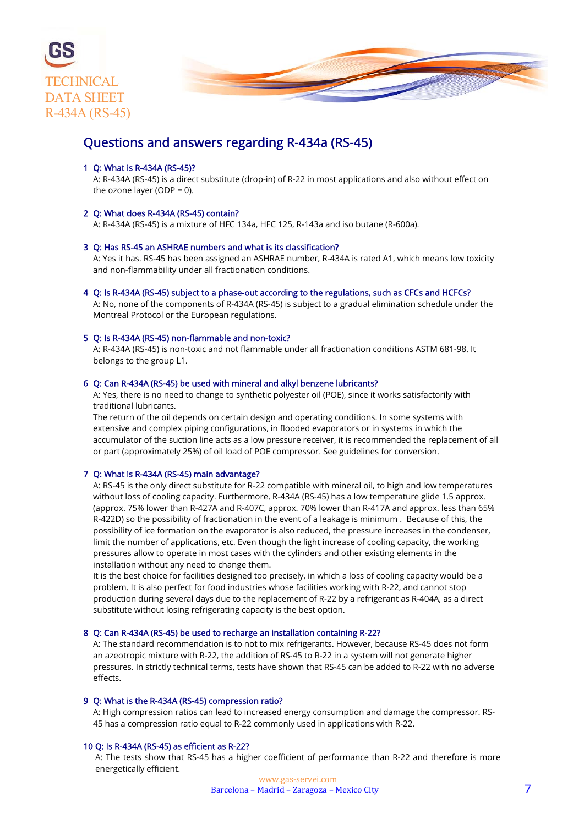

### Questions and answers regarding R-434a (RS-45)

#### 1 Q: What is R-434A (RS-45)?

 A: R-434A (RS-45) is a direct substitute (drop-in) of R-22 in most applications and also without effect on the ozone layer (ODP =  $0$ ).

#### 2 Q: What does R-434A (RS-45) contain?

A: R-434A (RS-45) is a mixture of HFC 134a, HFC 125, R-143a and iso butane (R-600a).

#### 3 Q: Has RS-45 an ASHRAE numbers and what is its classification?

 A: Yes it has. RS-45 has been assigned an ASHRAE number, R-434A is rated A1, which means low toxicity and non-flammability under all fractionation conditions.

4 Q: Is R-434A (RS-45) subject to a phase-out according to the regulations, such as CFCs and HCFCs? A: No, none of the components of R-434A (RS-45) is subject to a gradual elimination schedule under the Montreal Protocol or the European regulations.

#### 5 Q: Is R-434A (RS-45) non-flammable and non-toxic?

 A: R-434A (RS-45) is non-toxic and not flammable under all fractionation conditions ASTM 681-98. It belongs to the group L1.

#### 6 Q: Can R-434A (RS-45) be used with mineral and alkyl benzene lubricants?

 A: Yes, there is no need to change to synthetic polyester oil (POE), since it works satisfactorily with traditional lubricants.

 The return of the oil depends on certain design and operating conditions. In some systems with extensive and complex piping configurations, in flooded evaporators or in systems in which the accumulator of the suction line acts as a low pressure receiver, it is recommended the replacement of all or part (approximately 25%) of oil load of POE compressor. See guidelines for conversion.

#### 7 Q: What is R-434A (RS-45) main advantage?

 A: RS-45 is the only direct substitute for R-22 compatible with mineral oil, to high and low temperatures without loss of cooling capacity. Furthermore, R-434A (RS-45) has a low temperature glide 1.5 approx. (approx. 75% lower than R-427A and R-407C, approx. 70% lower than R-417A and approx. less than 65% R-422D) so the possibility of fractionation in the event of a leakage is minimum . Because of this, the possibility of ice formation on the evaporator is also reduced, the pressure increases in the condenser, limit the number of applications, etc. Even though the light increase of cooling capacity, the working pressures allow to operate in most cases with the cylinders and other existing elements in the installation without any need to change them.

 It is the best choice for facilities designed too precisely, in which a loss of cooling capacity would be a problem. It is also perfect for food industries whose facilities working with R-22, and cannot stop production during several days due to the replacement of R-22 by a refrigerant as R-404A, as a direct substitute without losing refrigerating capacity is the best option.

#### 8 Q: Can R-434A (RS-45) be used to recharge an installation containing R-22?

 A: The standard recommendation is to not to mix refrigerants. However, because RS-45 does not form an azeotropic mixture with R-22, the addition of RS-45 to R-22 in a system will not generate higher pressures. In strictly technical terms, tests have shown that RS-45 can be added to R-22 with no adverse effects.

#### 9 Q: What is the R-434A (RS-45) compression ratio?

 A: High compression ratios can lead to increased energy consumption and damage the compressor. RS- 45 has a compression ratio equal to R-22 commonly used in applications with R-22.

#### 10 Q: Is R-434A (RS-45) as efficient as R-22?

 A: The tests show that RS-45 has a higher coefficient of performance than R-22 and therefore is more energetically efficient.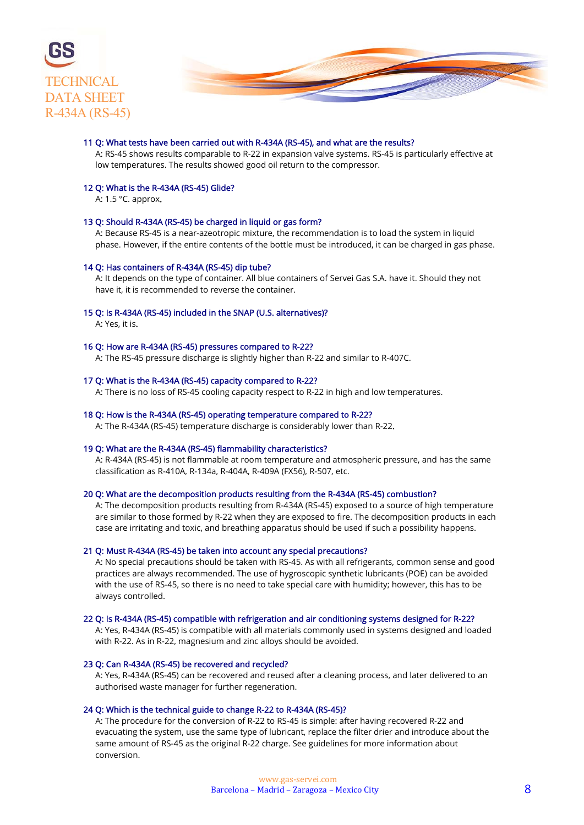



#### 11 Q: What tests have been carried out with R-434A (RS-45), and what are the results?

 A: RS-45 shows results comparable to R-22 in expansion valve systems. RS-45 is particularly effective at low temperatures. The results showed good oil return to the compressor.

#### 12 Q: What is the R-434A (RS-45) Glide?

A: 1.5 °C. approx.

#### 13 Q: Should R-434A (RS-45) be charged in liquid or gas form?

 A: Because RS-45 is a near-azeotropic mixture, the recommendation is to load the system in liquid phase. However, if the entire contents of the bottle must be introduced, it can be charged in gas phase.

#### 14 Q: Has containers of R-434A (RS-45) dip tube?

 A: It depends on the type of container. All blue containers of Servei Gas S.A. have it. Should they not have it, it is recommended to reverse the container.

#### 15 Q: Is R-434A (RS-45) included in the SNAP (U.S. alternatives)?

A: Yes, it is.

#### 16 Q: How are R-434A (RS-45) pressures compared to R-22?

A: The RS-45 pressure discharge is slightly higher than R-22 and similar to R-407C.

#### 17 Q: What is the R-434A (RS-45) capacity compared to R-22?

A: There is no loss of RS-45 cooling capacity respect to R-22 in high and low temperatures.

#### 18 Q: How is the R-434A (RS-45) operating temperature compared to R-22?

A: The R-434A (RS-45) temperature discharge is considerably lower than R-22.

#### 19 Q: What are the R-434A (RS-45) flammability characteristics?

 A: R-434A (RS-45) is not flammable at room temperature and atmospheric pressure, and has the same classification as R-410A, R-134a, R-404A, R-409A (FX56), R-507, etc.

#### 20 Q: What are the decomposition products resulting from the R-434A (RS-45) combustion?

 A: The decomposition products resulting from R-434A (RS-45) exposed to a source of high temperature are similar to those formed by R-22 when they are exposed to fire. The decomposition products in each case are irritating and toxic, and breathing apparatus should be used if such a possibility happens.

#### 21 Q: Must R-434A (RS-45) be taken into account any special precautions?

 A: No special precautions should be taken with RS-45. As with all refrigerants, common sense and good practices are always recommended. The use of hygroscopic synthetic lubricants (POE) can be avoided with the use of RS-45, so there is no need to take special care with humidity; however, this has to be always controlled.

#### 22 Q: Is R-434A (RS-45) compatible with refrigeration and air conditioning systems designed for R-22?

 A: Yes, R-434A (RS-45) is compatible with all materials commonly used in systems designed and loaded with R-22. As in R-22, magnesium and zinc alloys should be avoided.

#### 23 Q: Can R-434A (RS-45) be recovered and recycled?

 A: Yes, R-434A (RS-45) can be recovered and reused after a cleaning process, and later delivered to an authorised waste manager for further regeneration.

#### 24 Q: Which is the technical guide to change R-22 to R-434A (RS-45)?

 A: The procedure for the conversion of R-22 to RS-45 is simple: after having recovered R-22 and evacuating the system, use the same type of lubricant, replace the filter drier and introduce about the same amount of RS-45 as the original R-22 charge. See guidelines for more information about conversion.